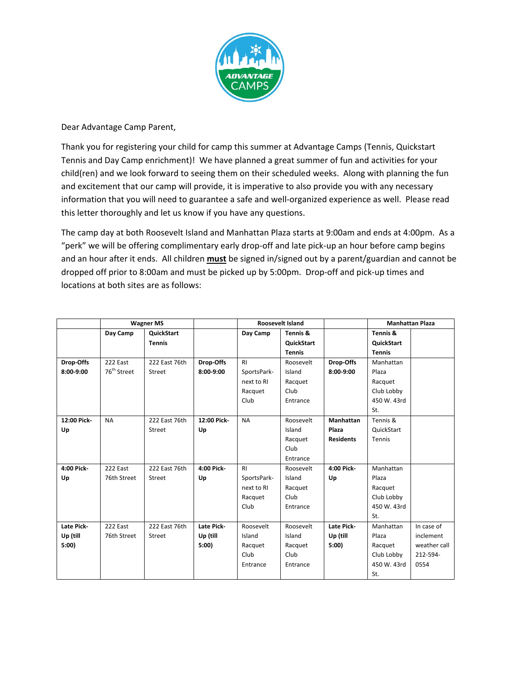

#### Dear Advantage Camp Parent,

Thank you for registering your child for camp this summer at Advantage Camps (Tennis, Quickstart Tennis and Day Camp enrichment)! We have planned a great summer of fun and activities for your child(ren) and we look forward to seeing them on their scheduled weeks. Along with planning the fun and excitement that our camp will provide, it is imperative to also provide you with any necessary information that you will need to guarantee a safe and well-organized experience as well. Please read this letter thoroughly and let us know if you have any questions.

The camp day at both Roosevelt Island and Manhattan Plaza starts at 9:00am and ends at 4:00pm. As a "perk" we will be offering complimentary early drop-off and late pick-up an hour before camp begins and an hour after it ends. All children **must** be signed in/signed out by a parent/guardian and cannot be dropped off prior to 8:00am and must be picked up by 5:00pm. Drop-off and pick-up times and locations at both sites are as follows:

|             | <b>Wagner MS</b>        |               |             | <b>Roosevelt Island</b> |               |                  | <b>Manhattan Plaza</b> |              |
|-------------|-------------------------|---------------|-------------|-------------------------|---------------|------------------|------------------------|--------------|
|             | Day Camp                | QuickStart    |             | Day Camp                | Tennis &      |                  | Tennis &               |              |
|             |                         | <b>Tennis</b> |             |                         | QuickStart    |                  | QuickStart             |              |
|             |                         |               |             |                         | <b>Tennis</b> |                  | <b>Tennis</b>          |              |
| Drop-Offs   | 222 East                | 222 East 76th | Drop-Offs   | R <sub>l</sub>          | Roosevelt     | Drop-Offs        | Manhattan              |              |
| 8:00-9:00   | 76 <sup>th</sup> Street | <b>Street</b> | 8:00-9:00   | SportsPark-             | Island        | 8:00-9:00        | Plaza                  |              |
|             |                         |               |             | next to RI              | Racquet       |                  | Racquet                |              |
|             |                         |               |             | Racquet                 | Club          |                  | Club Lobby             |              |
|             |                         |               |             | Club                    | Entrance      |                  | 450 W. 43rd            |              |
|             |                         |               |             |                         |               |                  | St.                    |              |
| 12:00 Pick- | <b>NA</b>               | 222 East 76th | 12:00 Pick- | <b>NA</b>               | Roosevelt     | <b>Manhattan</b> | Tennis &               |              |
| Up          |                         | <b>Street</b> | Up          |                         | Island        | Plaza            | QuickStart             |              |
|             |                         |               |             |                         | Racquet       | <b>Residents</b> | Tennis                 |              |
|             |                         |               |             |                         | Club          |                  |                        |              |
|             |                         |               |             |                         | Entrance      |                  |                        |              |
| 4:00 Pick-  | 222 East                | 222 East 76th | 4:00 Pick-  | R <sub>l</sub>          | Roosevelt     | 4:00 Pick-       | Manhattan              |              |
| Up          | 76th Street             | Street        | Up          | SportsPark-             | Island        | Up               | Plaza                  |              |
|             |                         |               |             | next to RI              | Racquet       |                  | Racquet                |              |
|             |                         |               |             | Racquet                 | Club          |                  | Club Lobby             |              |
|             |                         |               |             | Club                    | Entrance      |                  | 450 W. 43rd            |              |
|             |                         |               |             |                         |               |                  | St.                    |              |
| Late Pick-  | 222 East                | 222 East 76th | Late Pick-  | Roosevelt               | Roosevelt     | Late Pick-       | Manhattan              | In case of   |
| Up (till    | 76th Street             | Street        | Up (till    | Island                  | Island        | Up (till         | Plaza                  | inclement    |
| 5:00        |                         |               | 5:00        | Racquet                 | Racquet       | 5:00             | Racquet                | weather call |
|             |                         |               |             | Club                    | Club          |                  | Club Lobby             | 212-594-     |
|             |                         |               |             | Entrance                | Entrance      |                  | 450 W. 43rd            | 0554         |
|             |                         |               |             |                         |               |                  | St.                    |              |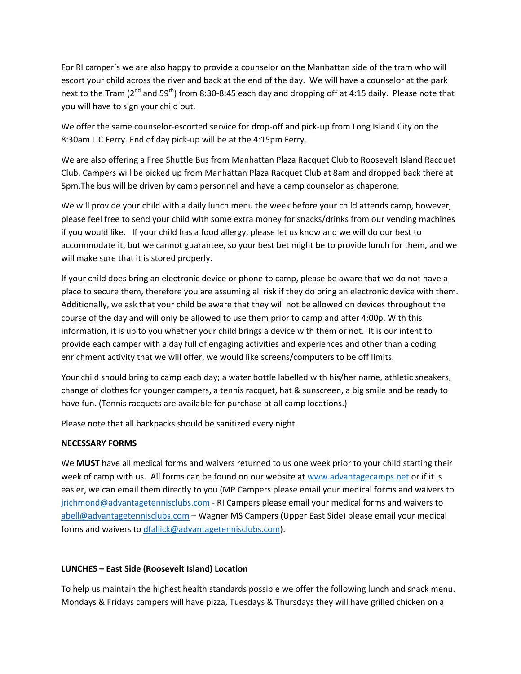For RI camper's we are also happy to provide a counselor on the Manhattan side of the tram who will escort your child across the river and back at the end of the day. We will have a counselor at the park next to the Tram ( $2^{nd}$  and  $59^{th}$ ) from 8:30-8:45 each day and dropping off at 4:15 daily. Please note that you will have to sign your child out.

We offer the same counselor-escorted service for drop-off and pick-up from Long Island City on the 8:30am LIC Ferry. End of day pick-up will be at the 4:15pm Ferry.

We are also offering a Free Shuttle Bus from Manhattan Plaza Racquet Club to Roosevelt Island Racquet Club. Campers will be picked up from Manhattan Plaza Racquet Club at 8am and dropped back there at 5pm. The bus will be driven by camp personnel and have a camp counselor as chaperone.

We will provide your child with a daily lunch menu the week before your child attends camp, however, please feel free to send your child with some extra money for snacks/drinks from our vending machines if you would like. If your child has a food allergy, please let us know and we will do our best to accommodate it, but we cannot guarantee, so your best bet might be to provide lunch for them, and we will make sure that it is stored properly.

If your child does bring an electronic device or phone to camp, please be aware that we do not have a place to secure them, therefore you are assuming all risk if they do bring an electronic device with them. Additionally, we ask that your child be aware that they will not be allowed on devices throughout the course of the day and will only be allowed to use them prior to camp and after 4:00p. With this information, it is up to you whether your child brings a device with them or not. It is our intent to provide each camper with a day full of engaging activities and experiences and other than a coding enrichment activity that we will offer, we would like screens/computers to be off limits.

Your child should bring to camp each day; a water bottle labelled with his/her name, athletic sneakers, change of clothes for younger campers, a tennis racquet, hat & sunscreen, a big smile and be ready to have fun. (Tennis racquets are available for purchase at all camp locations.)

Please note that all backpacks should be sanitized every night.

#### **NECESSARY FORMS**

We **MUST** have all medical forms and waivers returned to us one week prior to your child starting their week of camp with us. All forms can be found on our website at www.advantagecamps.net or if it is easier, we can email them directly to you (MP Campers please email your medical forms and waivers to jrichmond@advantagetennisclubs.com - RI Campers please email your medical forms and waivers to abell@advantagetennisclubs.com – Wagner MS Campers (Upper East Side) please email your medical forms and waivers to dfallick@advantagetennisclubs.com).

#### **LUNCHES** - East Side (Roosevelt Island) Location

To help us maintain the highest health standards possible we offer the following lunch and snack menu. Mondays & Fridays campers will have pizza, Tuesdays & Thursdays they will have grilled chicken on a